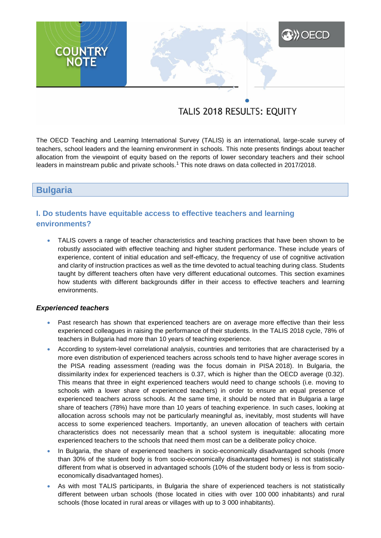# **A)** OECD **COUNTRY**<br>NOTE

# TALIS 2018 RESULTS: EQUITY

The OECD Teaching and Learning International Survey (TALIS) is an international, large-scale survey of teachers, school leaders and the learning environment in schools. This note presents findings about teacher allocation from the viewpoint of equity based on the reports of lower secondary teachers and their school leaders in mainstream public and private schools.<sup>1</sup> This note draws on data collected in 2017/2018.

# **Bulgaria**

# **I. Do students have equitable access to effective teachers and learning environments?**

 TALIS covers a range of teacher characteristics and teaching practices that have been shown to be robustly associated with effective teaching and higher student performance. These include years of experience, content of initial education and self-efficacy, the frequency of use of cognitive activation and clarity of instruction practices as well as the time devoted to actual teaching during class. Students taught by different teachers often have very different educational outcomes. This section examines how students with different backgrounds differ in their access to effective teachers and learning environments.

### *Experienced teachers*

- Past research has shown that experienced teachers are on average more effective than their less experienced colleagues in raising the performance of their students. In the TALIS 2018 cycle, 78% of teachers in Bulgaria had more than 10 years of teaching experience.
- According to system-level correlational analysis, countries and territories that are characterised by a more even distribution of experienced teachers across schools tend to have higher average scores in the PISA reading assessment (reading was the focus domain in PISA 2018). In Bulgaria, the dissimilarity index for experienced teachers is 0.37, which is higher than the OECD average (0.32). This means that three in eight experienced teachers would need to change schools (i.e. moving to schools with a lower share of experienced teachers) in order to ensure an equal presence of experienced teachers across schools. At the same time, it should be noted that in Bulgaria a large share of teachers (78%) have more than 10 years of teaching experience. In such cases, looking at allocation across schools may not be particularly meaningful as, inevitably, most students will have access to some experienced teachers. Importantly, an uneven allocation of teachers with certain characteristics does not necessarily mean that a school system is inequitable: allocating more experienced teachers to the schools that need them most can be a deliberate policy choice.
- In Bulgaria, the share of experienced teachers in socio-economically disadvantaged schools (more than 30% of the student body is from socio-economically disadvantaged homes) is not statistically different from what is observed in advantaged schools (10% of the student body or less is from socioeconomically disadvantaged homes).
- As with most TALIS participants, in Bulgaria the share of experienced teachers is not statistically different between urban schools (those located in cities with over 100 000 inhabitants) and rural schools (those located in rural areas or villages with up to 3 000 inhabitants).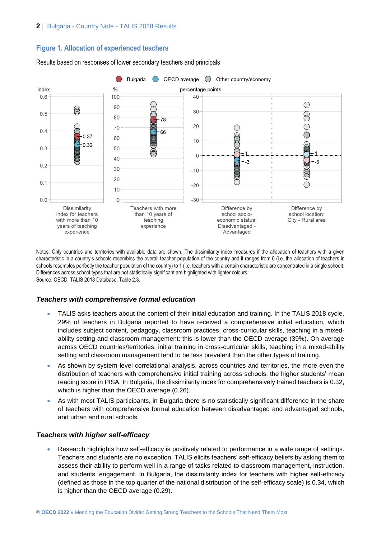# **Figure 1. Allocation of experienced teachers**



Results based on responses of lower secondary teachers and principals

Notes: Only countries and territories with available data are shown. The dissimilarity index measures if the allocation of teachers with a given characteristic in a country's schools resembles the overall teacher population of the country and it ranges from 0 (i.e. the allocation of teachers in schools resembles perfectly the teacher population of the country) to 1 (i.e. teachers with a certain characteristic are concentrated in a single school). Differences across school types that are not statistically significant are highlighted with lighter colours. Source: OECD, TALIS 2018 Database, Table 2.3.

### *Teachers with comprehensive formal education*

- TALIS asks teachers about the content of their initial education and training. In the TALIS 2018 cycle, 29% of teachers in Bulgaria reported to have received a comprehensive initial education, which includes subject content, pedagogy, classroom practices, cross-curricular skills, teaching in a mixedability setting and classroom management: this is lower than the OECD average (39%). On average across OECD countries/territories, initial training in cross-curricular skills, teaching in a mixed-ability setting and classroom management tend to be less prevalent than the other types of training.
- As shown by system-level correlational analysis, across countries and territories, the more even the distribution of teachers with comprehensive initial training across schools, the higher students' mean reading score in PISA. In Bulgaria, the dissimilarity index for comprehensively trained teachers is 0.32, which is higher than the OECD average (0.26).
- As with most TALIS participants, in Bulgaria there is no statistically significant difference in the share of teachers with comprehensive formal education between disadvantaged and advantaged schools, and urban and rural schools.

### *Teachers with higher self-efficacy*

 Research highlights how self-efficacy is positively related to performance in a wide range of settings. Teachers and students are no exception. TALIS elicits teachers' self-efficacy beliefs by asking them to assess their ability to perform well in a range of tasks related to classroom management, instruction, and students' engagement. In Bulgaria, the dissimilarity index for teachers with higher self-efficacy (defined as those in the top quarter of the national distribution of the self-efficacy scale) is 0.34, which is higher than the OECD average (0.29).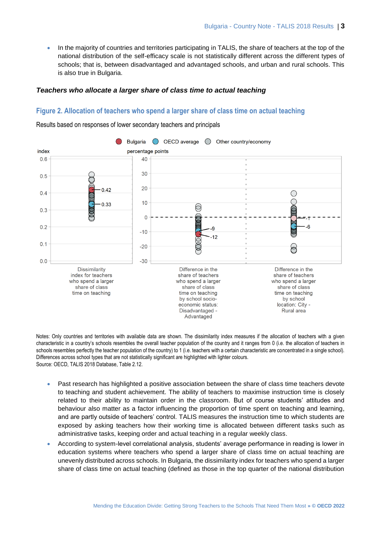In the majority of countries and territories participating in TALIS, the share of teachers at the top of the national distribution of the self-efficacy scale is not statistically different across the different types of schools; that is, between disadvantaged and advantaged schools, and urban and rural schools. This is also true in Bulgaria.

### *Teachers who allocate a larger share of class time to actual teaching*

### **Figure 2. Allocation of teachers who spend a larger share of class time on actual teaching**

Results based on responses of lower secondary teachers and principals



Notes: Only countries and territories with available data are shown. The dissimilarity index measures if the allocation of teachers with a given characteristic in a country's schools resembles the overall teacher population of the country and it ranges from 0 (i.e. the allocation of teachers in schools resembles perfectly the teacher population of the country) to 1 (i.e. teachers with a certain characteristic are concentrated in a single school). Differences across school types that are not statistically significant are highlighted with lighter colours. Source: OECD, TALIS 2018 Database, Table 2.12.

- Past research has highlighted a positive association between the share of class time teachers devote to teaching and student achievement. The ability of teachers to maximise instruction time is closely related to their ability to maintain order in the classroom. But of course students' attitudes and behaviour also matter as a factor influencing the proportion of time spent on teaching and learning, and are partly outside of teachers' control. TALIS measures the instruction time to which students are exposed by asking teachers how their working time is allocated between different tasks such as administrative tasks, keeping order and actual teaching in a regular weekly class.
- According to system-level correlational analysis, students' average performance in reading is lower in education systems where teachers who spend a larger share of class time on actual teaching are unevenly distributed across schools. In Bulgaria, the dissimilarity index for teachers who spend a larger share of class time on actual teaching (defined as those in the top quarter of the national distribution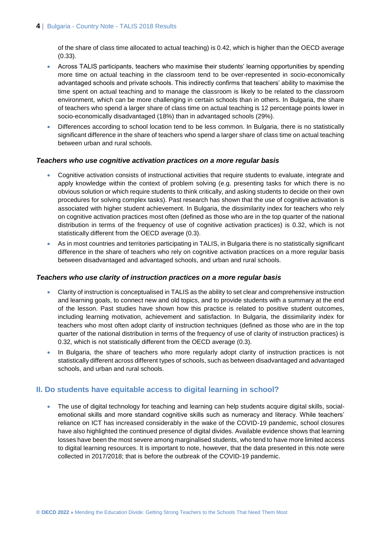of the share of class time allocated to actual teaching) is 0.42, which is higher than the OECD average (0.33).

- Across TALIS participants, teachers who maximise their students' learning opportunities by spending more time on actual teaching in the classroom tend to be over-represented in socio-economically advantaged schools and private schools. This indirectly confirms that teachers' ability to maximise the time spent on actual teaching and to manage the classroom is likely to be related to the classroom environment, which can be more challenging in certain schools than in others. In Bulgaria, the share of teachers who spend a larger share of class time on actual teaching is 12 percentage points lower in socio-economically disadvantaged (18%) than in advantaged schools (29%).
- Differences according to school location tend to be less common. In Bulgaria, there is no statistically significant difference in the share of teachers who spend a larger share of class time on actual teaching between urban and rural schools.

### *Teachers who use cognitive activation practices on a more regular basis*

- Cognitive activation consists of instructional activities that require students to evaluate, integrate and apply knowledge within the context of problem solving (e.g. presenting tasks for which there is no obvious solution or which require students to think critically, and asking students to decide on their own procedures for solving complex tasks). Past research has shown that the use of cognitive activation is associated with higher student achievement. In Bulgaria, the dissimilarity index for teachers who rely on cognitive activation practices most often (defined as those who are in the top quarter of the national distribution in terms of the frequency of use of cognitive activation practices) is 0.32, which is not statistically different from the OECD average (0.3).
- As in most countries and territories participating in TALIS, in Bulgaria there is no statistically significant difference in the share of teachers who rely on cognitive activation practices on a more regular basis between disadvantaged and advantaged schools, and urban and rural schools.

### *Teachers who use clarity of instruction practices on a more regular basis*

- Clarity of instruction is conceptualised in TALIS as the ability to set clear and comprehensive instruction and learning goals, to connect new and old topics, and to provide students with a summary at the end of the lesson. Past studies have shown how this practice is related to positive student outcomes, including learning motivation, achievement and satisfaction. In Bulgaria, the dissimilarity index for teachers who most often adopt clarity of instruction techniques (defined as those who are in the top quarter of the national distribution in terms of the frequency of use of clarity of instruction practices) is 0.32, which is not statistically different from the OECD average (0.3).
- In Bulgaria, the share of teachers who more regularly adopt clarity of instruction practices is not statistically different across different types of schools, such as between disadvantaged and advantaged schools, and urban and rural schools.

# **II. Do students have equitable access to digital learning in school?**

• The use of digital technology for teaching and learning can help students acquire digital skills, socialemotional skills and more standard cognitive skills such as numeracy and literacy. While teachers' reliance on ICT has increased considerably in the wake of the COVID-19 pandemic, school closures have also highlighted the continued presence of digital divides. Available evidence shows that learning losses have been the most severe among marginalised students, who tend to have more limited access to digital learning resources. It is important to note, however, that the data presented in this note were collected in 2017/2018; that is before the outbreak of the COVID-19 pandemic.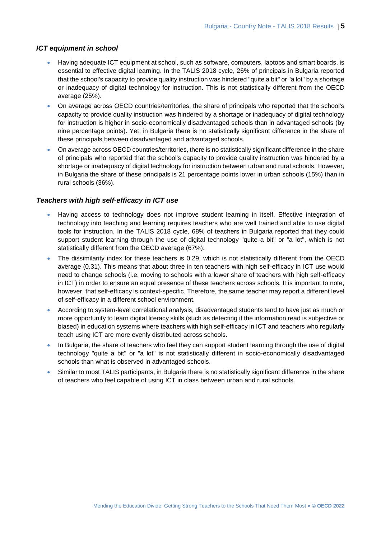### *ICT equipment in school*

- Having adequate ICT equipment at school, such as software, computers, laptops and smart boards, is essential to effective digital learning. In the TALIS 2018 cycle, 26% of principals in Bulgaria reported that the school's capacity to provide quality instruction was hindered "quite a bit" or "a lot" by a shortage or inadequacy of digital technology for instruction. This is not statistically different from the OECD average (25%).
- On average across OECD countries/territories, the share of principals who reported that the school's capacity to provide quality instruction was hindered by a shortage or inadequacy of digital technology for instruction is higher in socio-economically disadvantaged schools than in advantaged schools (by nine percentage points). Yet, in Bulgaria there is no statistically significant difference in the share of these principals between disadvantaged and advantaged schools.
- On average across OECD countries/territories, there is no statistically significant difference in the share of principals who reported that the school's capacity to provide quality instruction was hindered by a shortage or inadequacy of digital technology for instruction between urban and rural schools. However, in Bulgaria the share of these principals is 21 percentage points lower in urban schools (15%) than in rural schools (36%).

### *Teachers with high self-efficacy in ICT use*

- Having access to technology does not improve student learning in itself. Effective integration of technology into teaching and learning requires teachers who are well trained and able to use digital tools for instruction. In the TALIS 2018 cycle, 68% of teachers in Bulgaria reported that they could support student learning through the use of digital technology "quite a bit" or "a lot", which is not statistically different from the OECD average (67%).
- The dissimilarity index for these teachers is 0.29, which is not statistically different from the OECD average (0.31). This means that about three in ten teachers with high self-efficacy in ICT use would need to change schools (i.e. moving to schools with a lower share of teachers with high self-efficacy in ICT) in order to ensure an equal presence of these teachers across schools. It is important to note, however, that self-efficacy is context-specific. Therefore, the same teacher may report a different level of self-efficacy in a different school environment.
- According to system-level correlational analysis, disadvantaged students tend to have just as much or more opportunity to learn digital literacy skills (such as detecting if the information read is subjective or biased) in education systems where teachers with high self-efficacy in ICT and teachers who regularly teach using ICT are more evenly distributed across schools.
- In Bulgaria, the share of teachers who feel they can support student learning through the use of digital technology "quite a bit" or "a lot" is not statistically different in socio-economically disadvantaged schools than what is observed in advantaged schools.
- Similar to most TALIS participants, in Bulgaria there is no statistically significant difference in the share of teachers who feel capable of using ICT in class between urban and rural schools.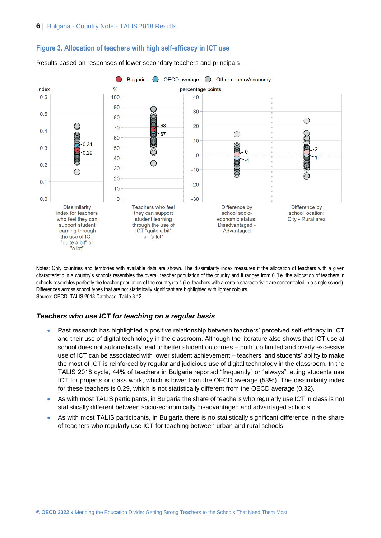



Results based on responses of lower secondary teachers and principals

Notes: Only countries and territories with available data are shown. The dissimilarity index measures if the allocation of teachers with a given characteristic in a country's schools resembles the overall teacher population of the country and it ranges from 0 (i.e. the allocation of teachers in schools resembles perfectly the teacher population of the country) to 1 (i.e. teachers with a certain characteristic are concentrated in a single school). Differences across school types that are not statistically significant are highlighted with lighter colours. Source: OECD, TALIS 2018 Database, Table 3.12.

### *Teachers who use ICT for teaching on a regular basis*

- Past research has highlighted a positive relationship between teachers' perceived self-efficacy in ICT and their use of digital technology in the classroom. Although the literature also shows that ICT use at school does not automatically lead to better student outcomes – both too limited and overly excessive use of ICT can be associated with lower student achievement – teachers' and students' ability to make the most of ICT is reinforced by regular and judicious use of digital technology in the classroom. In the TALIS 2018 cycle, 44% of teachers in Bulgaria reported "frequently" or "always" letting students use ICT for projects or class work, which is lower than the OECD average (53%). The dissimilarity index for these teachers is 0.29, which is not statistically different from the OECD average (0.32).
- As with most TALIS participants, in Bulgaria the share of teachers who regularly use ICT in class is not statistically different between socio-economically disadvantaged and advantaged schools.
- As with most TALIS participants, in Bulgaria there is no statistically significant difference in the share of teachers who regularly use ICT for teaching between urban and rural schools.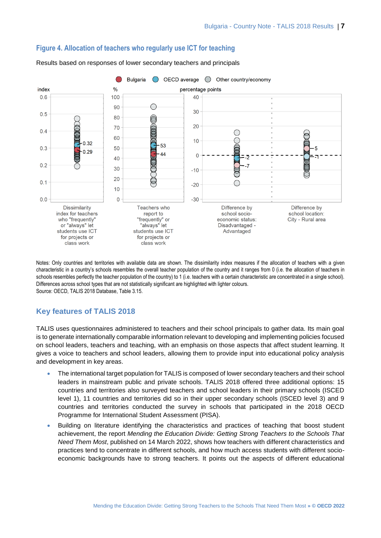

### **Figure 4. Allocation of teachers who regularly use ICT for teaching**

Results based on responses of lower secondary teachers and principals

Notes: Only countries and territories with available data are shown. The dissimilarity index measures if the allocation of teachers with a given characteristic in a country's schools resembles the overall teacher population of the country and it ranges from 0 (i.e. the allocation of teachers in schools resembles perfectly the teacher population of the country) to 1 (i.e. teachers with a certain characteristic are concentrated in a single school). Differences across school types that are not statistically significant are highlighted with lighter colours. Source: OECD, TALIS 2018 Database, Table 3.15.

# **Key features of TALIS 2018**

TALIS uses questionnaires administered to teachers and their school principals to gather data. Its main goal is to generate internationally comparable information relevant to developing and implementing policies focused on school leaders, teachers and teaching, with an emphasis on those aspects that affect student learning. It gives a voice to teachers and school leaders, allowing them to provide input into educational policy analysis and development in key areas.

- The international target population for TALIS is composed of lower secondary teachers and their school leaders in mainstream public and private schools. TALIS 2018 offered three additional options: 15 countries and territories also surveyed teachers and school leaders in their primary schools (ISCED level 1), 11 countries and territories did so in their upper secondary schools (ISCED level 3) and 9 countries and territories conducted the survey in schools that participated in the 2018 OECD Programme for International Student Assessment (PISA).
- Building on literature identifying the characteristics and practices of teaching that boost student achievement, the report *Mending the Education Divide: Getting Strong Teachers to the Schools That Need Them Most*, published on 14 March 2022, shows how teachers with different characteristics and practices tend to concentrate in different schools, and how much access students with different socioeconomic backgrounds have to strong teachers. It points out the aspects of different educational